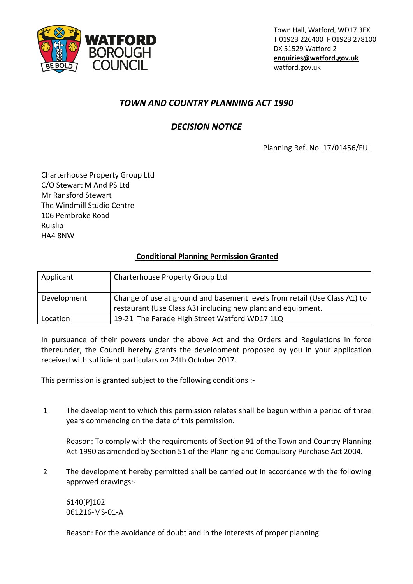

# *TOWN AND COUNTRY PLANNING ACT 1990*

*DECISION NOTICE*

Planning Ref. No. 17/01456/FUL

Charterhouse Property Group Ltd C/O Stewart M And PS Ltd Mr Ransford Stewart The Windmill Studio Centre 106 Pembroke Road Ruislip HA4 8NW

## **Conditional Planning Permission Granted**

| Applicant   | Charterhouse Property Group Ltd                                                                                                           |
|-------------|-------------------------------------------------------------------------------------------------------------------------------------------|
| Development | Change of use at ground and basement levels from retail (Use Class A1) to<br>restaurant (Use Class A3) including new plant and equipment. |
| Location    | 19-21 The Parade High Street Watford WD17 1LQ                                                                                             |

In pursuance of their powers under the above Act and the Orders and Regulations in force thereunder, the Council hereby grants the development proposed by you in your application received with sufficient particulars on 24th October 2017.

This permission is granted subject to the following conditions :-

1 The development to which this permission relates shall be begun within a period of three years commencing on the date of this permission.

Reason: To comply with the requirements of Section 91 of the Town and Country Planning Act 1990 as amended by Section 51 of the Planning and Compulsory Purchase Act 2004.

2 The development hereby permitted shall be carried out in accordance with the following approved drawings:-

6140[P]102 061216-MS-01-A

Reason: For the avoidance of doubt and in the interests of proper planning.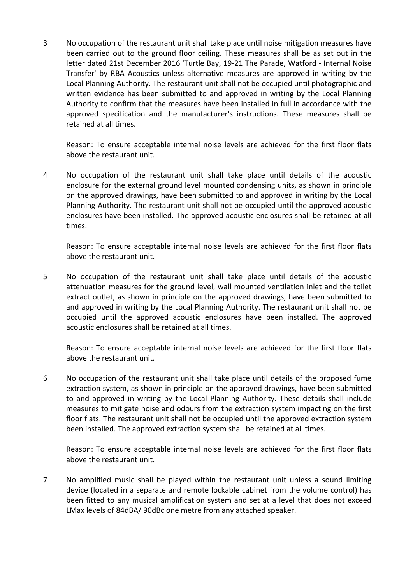3 No occupation of the restaurant unit shall take place until noise mitigation measures have been carried out to the ground floor ceiling. These measures shall be as set out in the letter dated 21st December 2016 'Turtle Bay, 19-21 The Parade, Watford - Internal Noise Transfer' by RBA Acoustics unless alternative measures are approved in writing by the Local Planning Authority. The restaurant unit shall not be occupied until photographic and written evidence has been submitted to and approved in writing by the Local Planning Authority to confirm that the measures have been installed in full in accordance with the approved specification and the manufacturer's instructions. These measures shall be retained at all times.

Reason: To ensure acceptable internal noise levels are achieved for the first floor flats above the restaurant unit.

4 No occupation of the restaurant unit shall take place until details of the acoustic enclosure for the external ground level mounted condensing units, as shown in principle on the approved drawings, have been submitted to and approved in writing by the Local Planning Authority. The restaurant unit shall not be occupied until the approved acoustic enclosures have been installed. The approved acoustic enclosures shall be retained at all times.

Reason: To ensure acceptable internal noise levels are achieved for the first floor flats above the restaurant unit.

5 No occupation of the restaurant unit shall take place until details of the acoustic attenuation measures for the ground level, wall mounted ventilation inlet and the toilet extract outlet, as shown in principle on the approved drawings, have been submitted to and approved in writing by the Local Planning Authority. The restaurant unit shall not be occupied until the approved acoustic enclosures have been installed. The approved acoustic enclosures shall be retained at all times.

Reason: To ensure acceptable internal noise levels are achieved for the first floor flats above the restaurant unit.

6 No occupation of the restaurant unit shall take place until details of the proposed fume extraction system, as shown in principle on the approved drawings, have been submitted to and approved in writing by the Local Planning Authority. These details shall include measures to mitigate noise and odours from the extraction system impacting on the first floor flats. The restaurant unit shall not be occupied until the approved extraction system been installed. The approved extraction system shall be retained at all times.

Reason: To ensure acceptable internal noise levels are achieved for the first floor flats above the restaurant unit.

7 No amplified music shall be played within the restaurant unit unless a sound limiting device (located in a separate and remote lockable cabinet from the volume control) has been fitted to any musical amplification system and set at a level that does not exceed LMax levels of 84dBA/ 90dBc one metre from any attached speaker.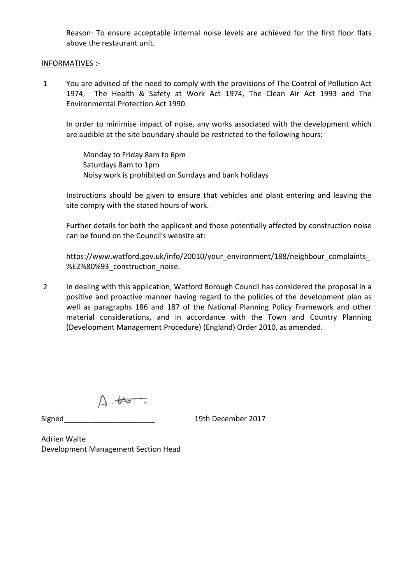Reason: To ensure acceptable internal noise levels are achieved for the first floor flats above the restaurant unit.

#### INFORMATIVES :-

1 You are advised of the need to comply with the provisions of The Control of Pollution Act 1974, The Health & Safety at Work Act 1974, The Clean Air Act 1993 and The Environmental Protection Act 1990.

In order to minimise impact of noise, any works associated with the development which are audible at the site boundary should be restricted to the following hours:

 Monday to Friday 8am to 6pm Saturdays 8am to 1pm Noisy work is prohibited on Sundays and bank holidays

Instructions should be given to ensure that vehicles and plant entering and leaving the site comply with the stated hours of work.

Further details for both the applicant and those potentially affected by construction noise can be found on the Council's website at:

https://www.watford.gov.uk/info/20010/your\_environment/188/neighbour\_complaints\_ %E2%80%93\_construction\_noise.

2 In dealing with this application, Watford Borough Council has considered the proposal in a positive and proactive manner having regard to the policies of the development plan as well as paragraphs 186 and 187 of the National Planning Policy Framework and other material considerations, and in accordance with the Town and Country Planning (Development Management Procedure) (England) Order 2010, as amended.

 $A + 7$ 

Signed\_\_\_\_\_\_\_\_\_\_\_\_\_\_\_\_\_\_\_\_\_\_ 19th December 2017

Adrien Waite Development Management Section Head